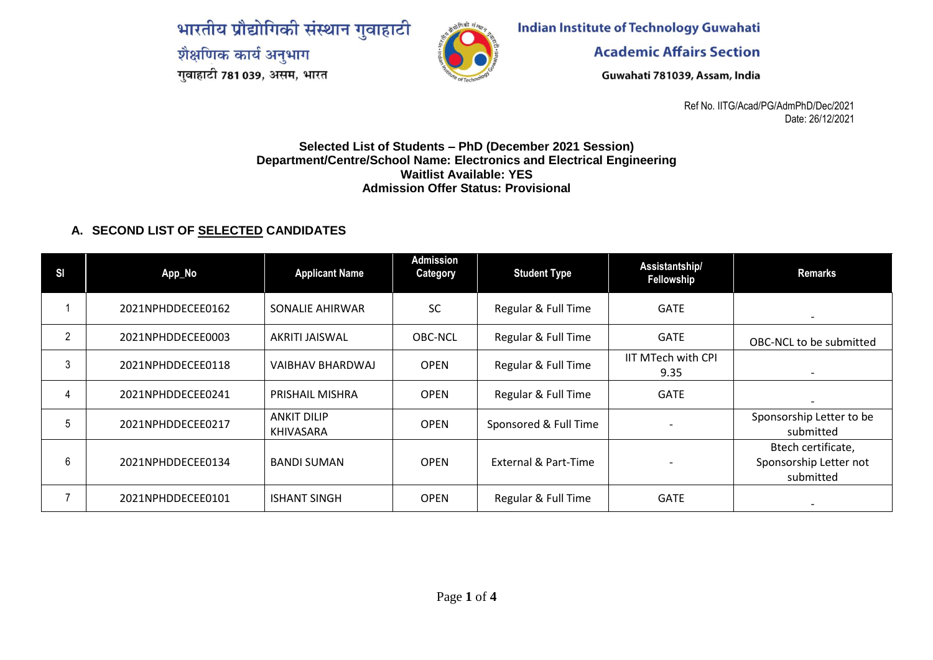भारतीय प्रौद्योगिकी संस्थान गुवाहाटी शैक्षणिक कार्य अनुभाग गुवाहाटी 781 039, असम, भारत



**Indian Institute of Technology Guwahati** 

**Academic Affairs Section** 

Guwahati 781039, Assam, India

Ref No. IITG/Acad/PG/AdmPhD/Dec/2021 Date: 26/12/2021

## **Selected List of Students – PhD (December 2021 Session) Department/Centre/School Name: Electronics and Electrical Engineering Waitlist Available: YES Admission Offer Status: Provisional**

## **A. SECOND LIST OF SELECTED CANDIDATES**

| SI | App_No            | <b>Applicant Name</b>                  | <b>Admission</b><br>Category | <b>Student Type</b>   | Assistantship/<br>Fellowship | Remarks                                                   |
|----|-------------------|----------------------------------------|------------------------------|-----------------------|------------------------------|-----------------------------------------------------------|
|    | 2021NPHDDECEE0162 | SONALIE AHIRWAR                        | <b>SC</b>                    | Regular & Full Time   | <b>GATE</b>                  | $\overline{\phantom{a}}$                                  |
| 2  | 2021NPHDDECEE0003 | AKRITI JAISWAL                         | <b>OBC-NCL</b>               | Regular & Full Time   | <b>GATE</b>                  | OBC-NCL to be submitted                                   |
| 3  | 2021NPHDDECEE0118 | <b>VAIBHAV BHARDWAJ</b>                | <b>OPEN</b>                  | Regular & Full Time   | IIT MTech with CPI<br>9.35   |                                                           |
|    | 2021NPHDDECEE0241 | PRISHAIL MISHRA                        | <b>OPEN</b>                  | Regular & Full Time   | <b>GATE</b>                  |                                                           |
|    | 2021NPHDDECEE0217 | <b>ANKIT DILIP</b><br><b>KHIVASARA</b> | <b>OPEN</b>                  | Sponsored & Full Time |                              | Sponsorship Letter to be<br>submitted                     |
| 6  | 2021NPHDDECEE0134 | <b>BANDI SUMAN</b>                     | <b>OPEN</b>                  | External & Part-Time  |                              | Btech certificate,<br>Sponsorship Letter not<br>submitted |
|    | 2021NPHDDECEE0101 | <b>ISHANT SINGH</b>                    | <b>OPEN</b>                  | Regular & Full Time   | <b>GATE</b>                  |                                                           |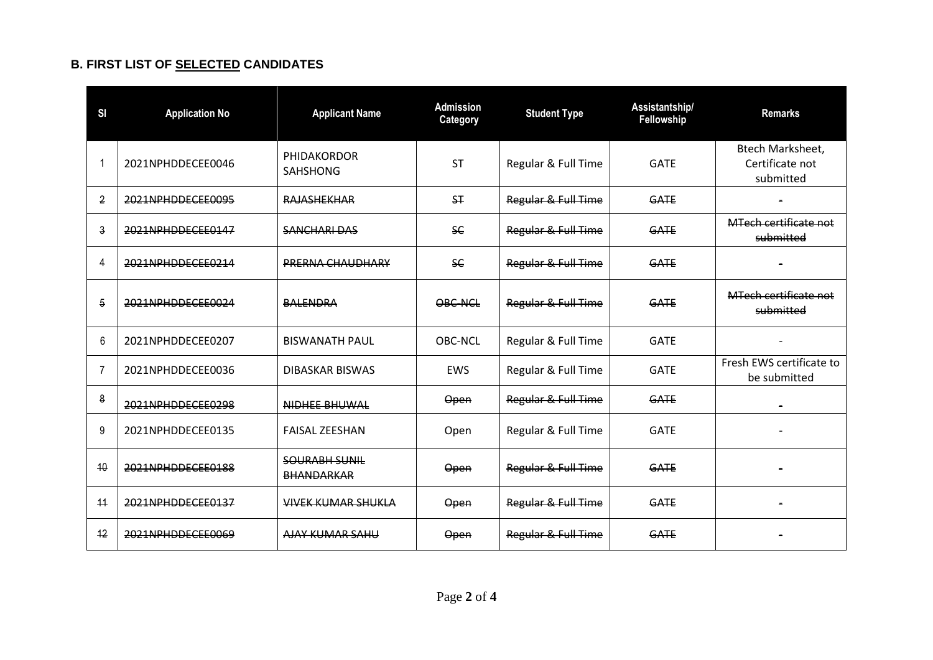## **B. FIRST LIST OF SELECTED CANDIDATES**

| SI             | <b>Application No</b> | <b>Applicant Name</b>                     | <b>Admission</b><br>Category | <b>Student Type</b> | Assistantship/<br>Fellowship | <b>Remarks</b>                                          |
|----------------|-----------------------|-------------------------------------------|------------------------------|---------------------|------------------------------|---------------------------------------------------------|
|                | 2021NPHDDECEE0046     | PHIDAKORDOR<br><b>SAHSHONG</b>            | <b>ST</b>                    | Regular & Full Time | <b>GATE</b>                  | <b>Btech Marksheet,</b><br>Certificate not<br>submitted |
| $\overline{2}$ | 2021NPHDDECEE0095     | <b>RAJASHEKHAR</b>                        | S <sub>T</sub>               | Regular & Full Time | GATE                         |                                                         |
| $\mathsf{3}$   | 2021NPHDDECEE0147     | <b>SANCHARI DAS</b>                       | <b>SC</b>                    | Regular & Full Time | GATE                         | <b>MTech certificate not</b><br>submitted               |
| 4              | 2021NPHDDECEE0214     | PRERNA CHAUDHARY                          | <b>SC</b>                    | Regular & Full Time | <b>GATE</b>                  |                                                         |
| 5              | 2021NPHDDECEE0024     | <b>BALENDRA</b>                           | OBC-NCL                      | Regular & Full Time | GATE                         | MTech certificate not<br>submitted                      |
| 6              | 2021NPHDDECEE0207     | <b>BISWANATH PAUL</b>                     | OBC-NCL                      | Regular & Full Time | <b>GATE</b>                  |                                                         |
| 7              | 2021NPHDDECEE0036     | DIBASKAR BISWAS                           | <b>EWS</b>                   | Regular & Full Time | <b>GATE</b>                  | Fresh EWS certificate to<br>be submitted                |
| 8              | 2021NPHDDECEE0298     | NIDHEE BHUWAL                             | Open                         | Regular & Full Time | <b>GATE</b>                  |                                                         |
| 9              | 2021NPHDDECEE0135     | <b>FAISAL ZEESHAN</b>                     | Open                         | Regular & Full Time | <b>GATE</b>                  |                                                         |
| 10             | 2021NPHDDECEE0188     | <b>SOURABH SUNIL</b><br><b>BHANDARKAR</b> | Open                         | Regular & Full Time | GATE                         |                                                         |
| 11             | 2021NPHDDECEE0137     | <b>VIVEK KUMAR SHUKLA</b>                 | Open                         | Regular & Full Time | GATE                         |                                                         |
| 12             | 2021NPHDDECEE0069     | AJAY KUMAR SAHU                           | Open                         | Regular & Full Time | <b>GATE</b>                  |                                                         |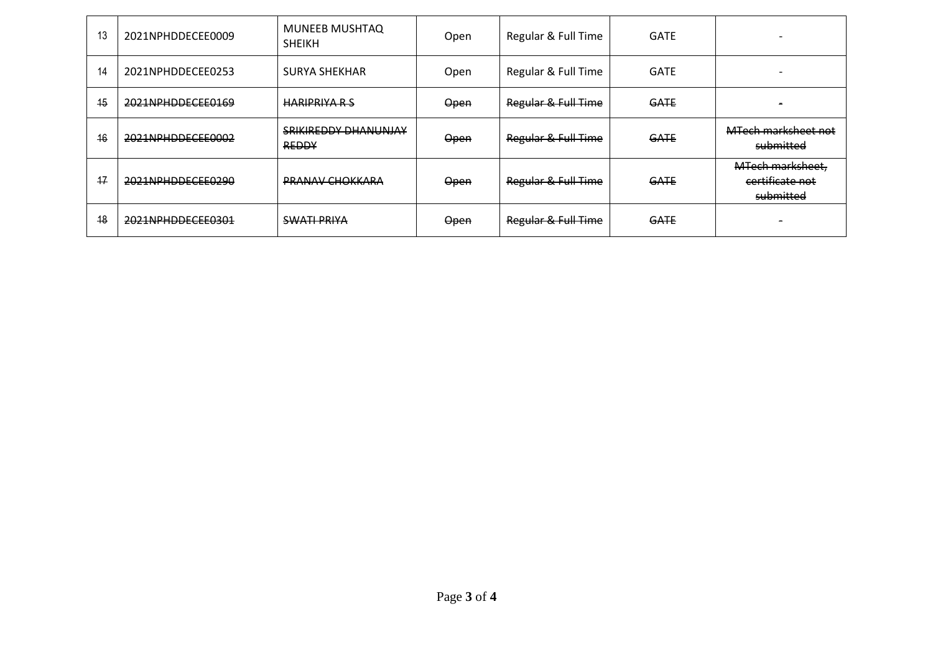| 13 | 2021NPHDDECEE0009 | <b>MUNEEB MUSHTAQ</b><br><b>SHEIKH</b>      | Open | Regular & Full Time | <b>GATE</b> |                                                  |
|----|-------------------|---------------------------------------------|------|---------------------|-------------|--------------------------------------------------|
| 14 | 2021NPHDDECEE0253 | <b>SURYA SHEKHAR</b>                        | Open | Regular & Full Time | <b>GATE</b> |                                                  |
| 15 | 2021NPHDDECEE0169 | <b>HARIPRIYA R S</b>                        | Open | Regular & Full Time | <b>GATE</b> |                                                  |
| 16 | 2021NPHDDECEE0002 | <b>SRIKIREDDY DHANUNJAY</b><br><b>REDDY</b> | Open | Regular & Full Time | <b>GATE</b> | MTech marksheet not<br>submitted                 |
| 17 | 2021NPHDDECEE0290 | <b>PRANAV CHOKKARA</b>                      | Open | Regular & Full Time | <b>GATE</b> | MTech marksheet,<br>certificate not<br>submitted |
| 48 | 2021NPHDDECEE0301 | <b>SWATI PRIYA</b>                          | Open | Regular & Full Time | <b>GATE</b> |                                                  |